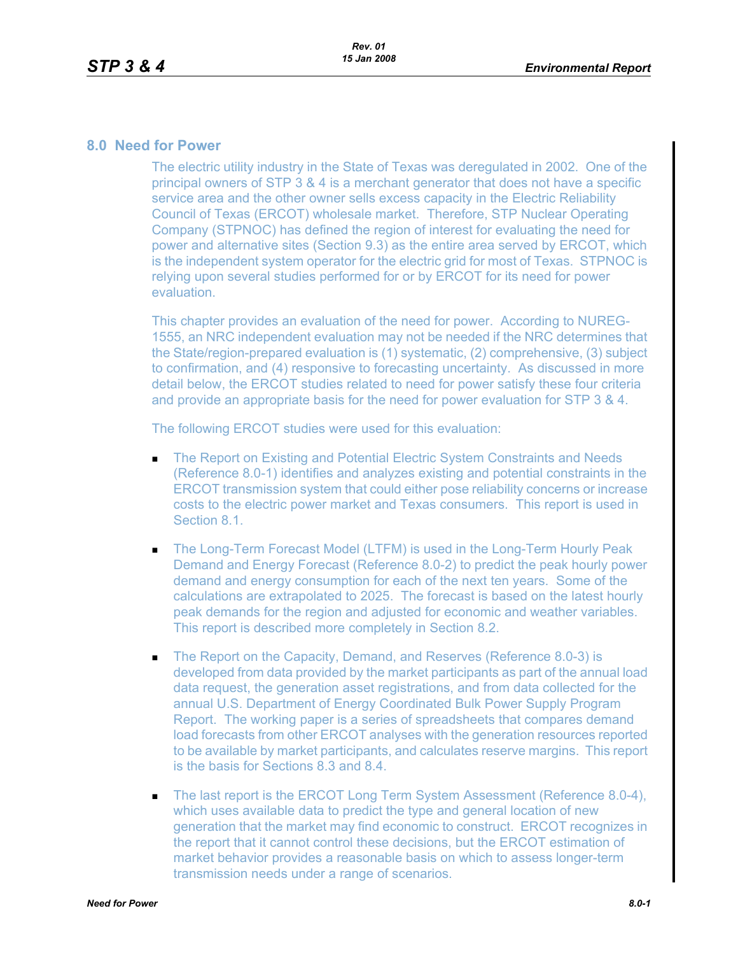## **8.0 Need for Power**

The electric utility industry in the State of Texas was deregulated in 2002. One of the principal owners of STP 3 & 4 is a merchant generator that does not have a specific service area and the other owner sells excess capacity in the Electric Reliability Council of Texas (ERCOT) wholesale market. Therefore, STP Nuclear Operating Company (STPNOC) has defined the region of interest for evaluating the need for power and alternative sites (Section 9.3) as the entire area served by ERCOT, which is the independent system operator for the electric grid for most of Texas. STPNOC is relying upon several studies performed for or by ERCOT for its need for power evaluation.

This chapter provides an evaluation of the need for power. According to NUREG-1555, an NRC independent evaluation may not be needed if the NRC determines that the State/region-prepared evaluation is (1) systematic, (2) comprehensive, (3) subject to confirmation, and (4) responsive to forecasting uncertainty. As discussed in more detail below, the ERCOT studies related to need for power satisfy these four criteria and provide an appropriate basis for the need for power evaluation for STP 3 & 4.

The following ERCOT studies were used for this evaluation:

- The Report on Existing and Potential Electric System Constraints and Needs (Reference 8.0-1) identifies and analyzes existing and potential constraints in the ERCOT transmission system that could either pose reliability concerns or increase costs to the electric power market and Texas consumers. This report is used in Section 8.1.
- The Long-Term Forecast Model (LTFM) is used in the Long-Term Hourly Peak Demand and Energy Forecast (Reference 8.0-2) to predict the peak hourly power demand and energy consumption for each of the next ten years. Some of the calculations are extrapolated to 2025. The forecast is based on the latest hourly peak demands for the region and adjusted for economic and weather variables. This report is described more completely in Section 8.2.
- The Report on the Capacity, Demand, and Reserves (Reference 8.0-3) is developed from data provided by the market participants as part of the annual load data request, the generation asset registrations, and from data collected for the annual U.S. Department of Energy Coordinated Bulk Power Supply Program Report. The working paper is a series of spreadsheets that compares demand load forecasts from other ERCOT analyses with the generation resources reported to be available by market participants, and calculates reserve margins. This report is the basis for Sections 8.3 and 8.4.
- The last report is the ERCOT Long Term System Assessment (Reference 8.0-4), which uses available data to predict the type and general location of new generation that the market may find economic to construct. ERCOT recognizes in the report that it cannot control these decisions, but the ERCOT estimation of market behavior provides a reasonable basis on which to assess longer-term transmission needs under a range of scenarios.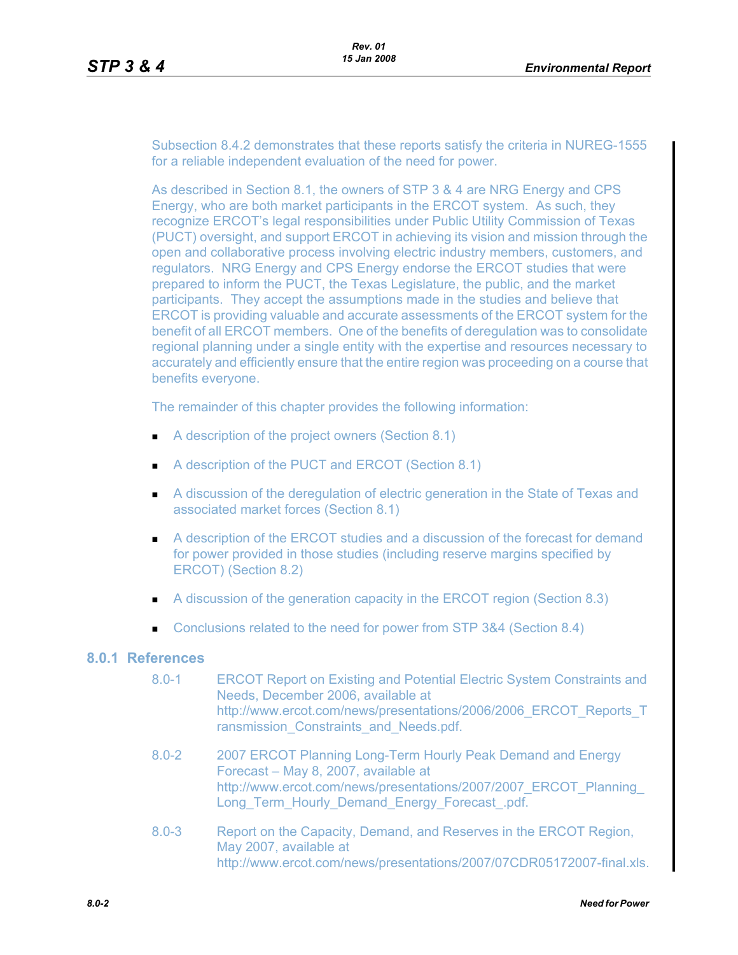Subsection 8.4.2 demonstrates that these reports satisfy the criteria in NUREG-1555 for a reliable independent evaluation of the need for power.

As described in Section 8.1, the owners of STP 3 & 4 are NRG Energy and CPS Energy, who are both market participants in the ERCOT system. As such, they recognize ERCOT's legal responsibilities under Public Utility Commission of Texas (PUCT) oversight, and support ERCOT in achieving its vision and mission through the open and collaborative process involving electric industry members, customers, and regulators. NRG Energy and CPS Energy endorse the ERCOT studies that were prepared to inform the PUCT, the Texas Legislature, the public, and the market participants. They accept the assumptions made in the studies and believe that ERCOT is providing valuable and accurate assessments of the ERCOT system for the benefit of all ERCOT members. One of the benefits of deregulation was to consolidate regional planning under a single entity with the expertise and resources necessary to accurately and efficiently ensure that the entire region was proceeding on a course that benefits everyone.

The remainder of this chapter provides the following information:

- A description of the project owners (Section 8.1)
- A description of the PUCT and ERCOT (Section 8.1)
- A discussion of the deregulation of electric generation in the State of Texas and associated market forces (Section 8.1)
- A description of the ERCOT studies and a discussion of the forecast for demand for power provided in those studies (including reserve margins specified by ERCOT) (Section 8.2)
- A discussion of the generation capacity in the ERCOT region (Section 8.3)
- Conclusions related to the need for power from STP 3&4 (Section 8.4)

## **8.0.1 References**

- 8.0-1 ERCOT Report on Existing and Potential Electric System Constraints and Needs, December 2006, available at http://www.ercot.com/news/presentations/2006/2006\_ERCOT\_Reports\_T ransmission\_Constraints\_and\_Needs.pdf.
- [8.0-2 2007 ERCOT Planning Long-Term Hourly Peak Demand and Energy](http://www.ercot.com/news/presentations/2007/2007_ERCOT_Planning_Long_Term_Hourly_Demand_Energy_Forecast_.pdf)  Forecast – May 8, 2007, available at http://www.ercot.com/news/presentations/2007/2007\_ERCOT\_Planning\_ Long Term Hourly Demand Energy Forecast .pdf.
- 8.0-3 Report on the Capacity, Demand, and Reserves in the ERCOT Region, May 2007, available at http://www.ercot.com/news/presentations/2007/07CDR05172007-final.xls.